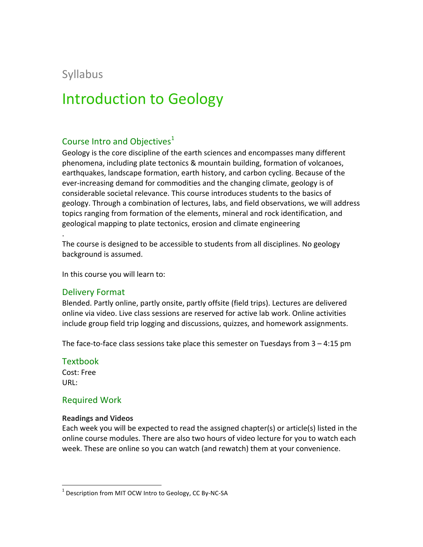# Syllabus

# **Introduction to Geology**

# Course Intro and Objectives<sup>1</sup>

Geology is the core discipline of the earth sciences and encompasses many different phenomena, including plate tectonics & mountain building, formation of volcanoes, earthquakes, landscape formation, earth history, and carbon cycling. Because of the ever-increasing demand for commodities and the changing climate, geology is of considerable societal relevance. This course introduces students to the basics of geology. Through a combination of lectures, labs, and field observations, we will address topics ranging from formation of the elements, mineral and rock identification, and geological mapping to plate tectonics, erosion and climate engineering

The course is designed to be accessible to students from all disciplines. No geology background is assumed.

In this course you will learn to:

#### Delivery Format

.

Blended. Partly online, partly onsite, partly offsite (field trips). Lectures are delivered online via video. Live class sessions are reserved for active lab work. Online activities include group field trip logging and discussions, quizzes, and homework assignments.

The face-to-face class sessions take place this semester on Tuesdays from  $3 - 4:15$  pm

#### **Textbook**

Cost: Free URL: 

# Required Work

#### **Readings and Videos**

Each week you will be expected to read the assigned chapter(s) or article(s) listed in the online course modules. There are also two hours of video lecture for you to watch each week. These are online so you can watch (and rewatch) them at your convenience.

 $1$  Description from MIT OCW Intro to Geology, CC By-NC-SA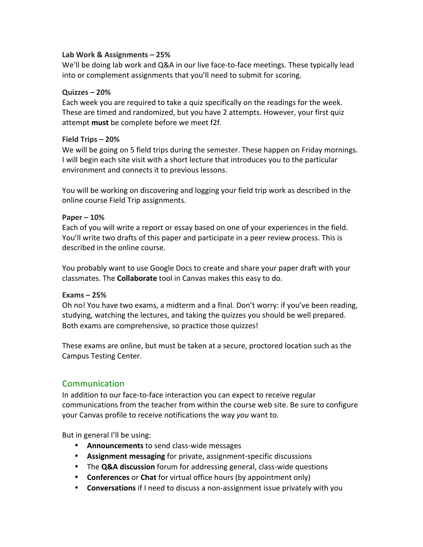#### **Lab Work & Assignments – 25%**

We'll be doing lab work and Q&A in our live face-to-face meetings. These typically lead into or complement assignments that you'll need to submit for scoring.

#### **Quizzes – 20%**

Each week you are required to take a quiz specifically on the readings for the week. These are timed and randomized, but you have 2 attempts. However, your first quiz attempt **must** be complete before we meet f2f.

#### **Field Trips – 20%**

We will be going on 5 field trips during the semester. These happen on Friday mornings. I will begin each site visit with a short lecture that introduces you to the particular environment and connects it to previous lessons.

You will be working on discovering and logging your field trip work as described in the online course Field Trip assignments.

#### **Paper – 10%**

Each of you will write a report or essay based on one of your experiences in the field. You'll write two drafts of this paper and participate in a peer review process. This is described in the online course.

You probably want to use Google Docs to create and share your paper draft with your classmates. The **Collaborate** tool in Canvas makes this easy to do.

#### **Exams – 25%**

Oh no! You have two exams, a midterm and a final. Don't worry: if you've been reading, studying, watching the lectures, and taking the quizzes you should be well prepared. Both exams are comprehensive, so practice those quizzes!

These exams are online, but must be taken at a secure, proctored location such as the Campus Testing Center.

# Communication

In addition to our face-to-face interaction you can expect to receive regular communications from the teacher from within the course web site. Be sure to configure your Canvas profile to receive notifications the way you want to.

But in general I'll be using:

- **Announcements** to send class-wide messages
- Assignment messaging for private, assignment-specific discussions
- The **Q&A discussion** forum for addressing general, class-wide questions
- **Conferences** or **Chat** for virtual office hours (by appointment only)
- **Conversations** if I need to discuss a non-assignment issue privately with you